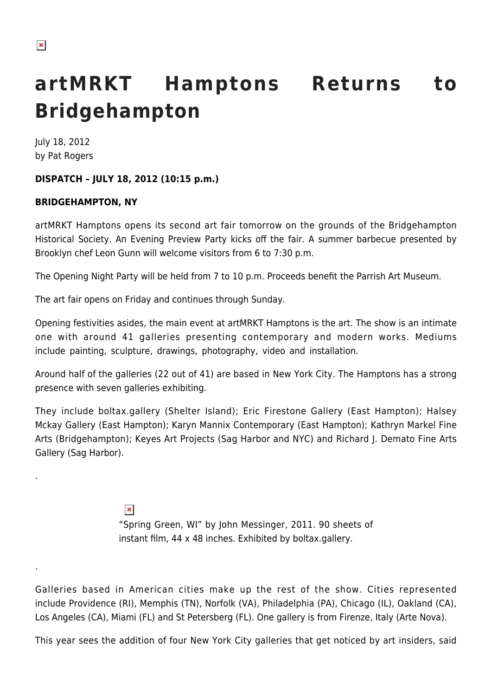.

.

# **artMRKT Hamptons Returns to Bridgehampton**

July 18, 2012 by Pat Rogers

## **DISPATCH – JULY 18, 2012 (10:15 p.m.)**

## **BRIDGEHAMPTON, NY**

artMRKT Hamptons opens its second art fair tomorrow on the grounds of the Bridgehampton Historical Society. An Evening Preview Party kicks off the fair. A summer barbecue presented by Brooklyn chef Leon Gunn will welcome visitors from 6 to 7:30 p.m.

The Opening Night Party will be held from 7 to 10 p.m. Proceeds benefit the Parrish Art Museum.

The art fair opens on Friday and continues through Sunday.

Opening festivities asides, the main event at artMRKT Hamptons is the art. The show is an intimate one with around 41 galleries presenting contemporary and modern works. Mediums include painting, sculpture, drawings, photography, video and installation.

Around half of the galleries (22 out of 41) are based in New York City. The Hamptons has a strong presence with seven galleries exhibiting.

They include boltax.gallery (Shelter Island); Eric Firestone Gallery (East Hampton); Halsey Mckay Gallery (East Hampton); Karyn Mannix Contemporary (East Hampton); Kathryn Markel Fine Arts (Bridgehampton); Keyes Art Projects (Sag Harbor and NYC) and Richard J. Demato Fine Arts Gallery (Sag Harbor).

> $\pmb{\times}$ "Spring Green, WI" by John Messinger, 2011. 90 sheets of instant film, 44 x 48 inches. Exhibited by boltax.gallery.

Galleries based in American cities make up the rest of the show. Cities represented include Providence (RI), Memphis (TN), Norfolk (VA), Philadelphia (PA), Chicago (IL), Oakland (CA), Los Angeles (CA), Miami (FL) and St Petersberg (FL). One gallery is from Firenze, Italy (Arte Nova).

This year sees the addition of four New York City galleries that get noticed by art insiders, said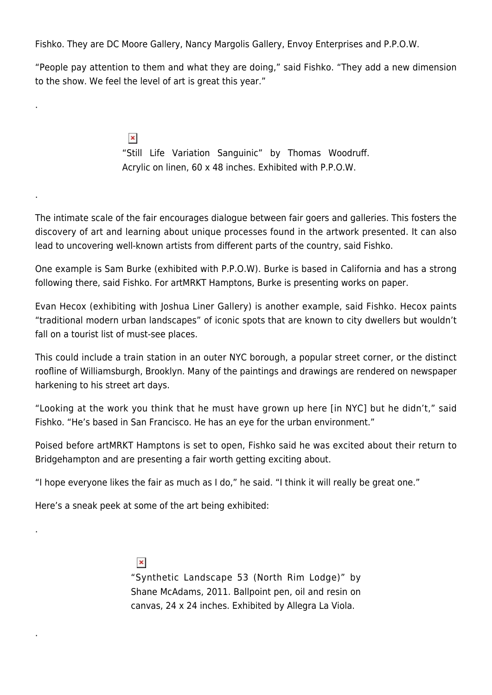Fishko. They are DC Moore Gallery, Nancy Margolis Gallery, Envoy Enterprises and P.P.O.W.

"People pay attention to them and what they are doing," said Fishko. "They add a new dimension to the show. We feel the level of art is great this year."

> $\pmb{\times}$ "Still Life Variation Sanguinic" by Thomas Woodruff. Acrylic on linen, 60 x 48 inches. Exhibited with P.P.O.W.

The intimate scale of the fair encourages dialogue between fair goers and galleries. This fosters the discovery of art and learning about unique processes found in the artwork presented. It can also lead to uncovering well-known artists from different parts of the country, said Fishko.

One example is Sam Burke (exhibited with P.P.O.W). Burke is based in California and has a strong following there, said Fishko. For artMRKT Hamptons, Burke is presenting works on paper.

Evan Hecox (exhibiting with Joshua Liner Gallery) is another example, said Fishko. Hecox paints "traditional modern urban landscapes" of iconic spots that are known to city dwellers but wouldn't fall on a tourist list of must-see places.

This could include a train station in an outer NYC borough, a popular street corner, or the distinct roofline of Williamsburgh, Brooklyn. Many of the paintings and drawings are rendered on newspaper harkening to his street art days.

"Looking at the work you think that he must have grown up here [in NYC] but he didn't," said Fishko. "He's based in San Francisco. He has an eye for the urban environment."

Poised before artMRKT Hamptons is set to open, Fishko said he was excited about their return to Bridgehampton and are presenting a fair worth getting exciting about.

"I hope everyone likes the fair as much as I do," he said. "I think it will really be great one."

Here's a sneak peek at some of the art being exhibited:

.

.

.

.

 $\pmb{\times}$ 

"Synthetic Landscape 53 (North Rim Lodge)" by Shane McAdams, 2011. Ballpoint pen, oil and resin on canvas, 24 x 24 inches. Exhibited by Allegra La Viola.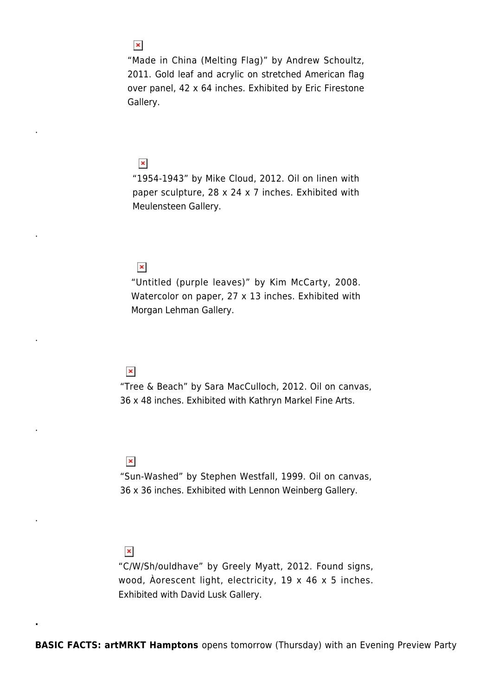"Made in China (Melting Flag)" by Andrew Schoultz, 2011. Gold leaf and acrylic on stretched American flag over panel, 42 x 64 inches. Exhibited by Eric Firestone Gallery.

#### $\pmb{\times}$

.

.

.

.

.

**.**

"1954-1943" by Mike Cloud, 2012. Oil on linen with paper sculpture, 28 x 24 x 7 inches. Exhibited with Meulensteen Gallery.

#### $\pmb{\times}$

"Untitled (purple leaves)" by Kim McCarty, 2008. Watercolor on paper, 27 x 13 inches. Exhibited with Morgan Lehman Gallery.

#### $\pmb{\times}$

"Tree & Beach" by Sara MacCulloch, 2012. Oil on canvas, 36 x 48 inches. Exhibited with Kathryn Markel Fine Arts.

#### $\pmb{\times}$

"Sun-Washed" by Stephen Westfall, 1999. Oil on canvas, 36 x 36 inches. Exhibited with Lennon Weinberg Gallery.

#### $\pmb{\times}$

"C/W/Sh/ouldhave" by Greely Myatt, 2012. Found signs, wood, Àorescent light, electricity, 19 x 46 x 5 inches. Exhibited with David Lusk Gallery.

## $\pmb{\times}$